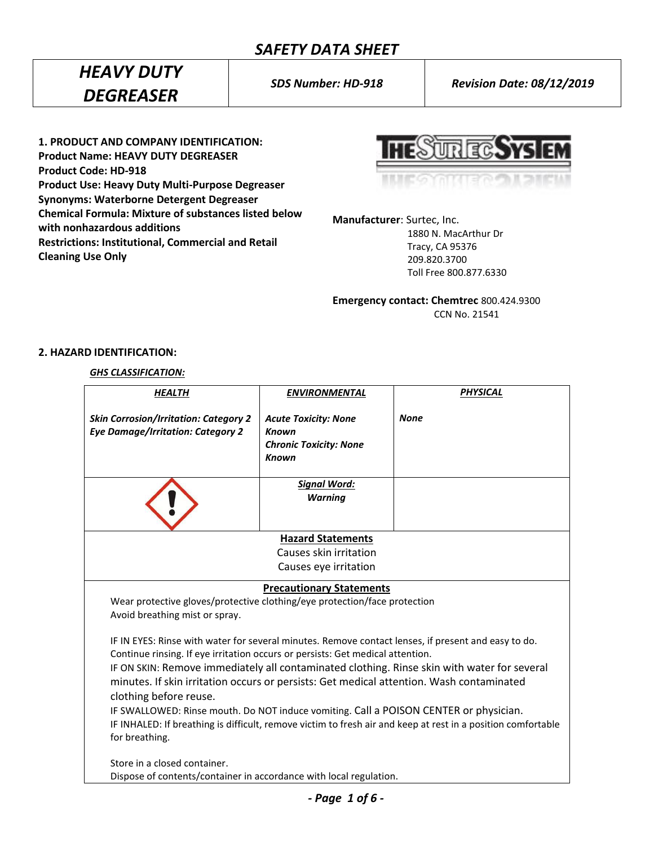*HEAVY DUTY DEGREASER*

*SDS Number: HD-918 Revision Date: 08/12/2019*

**1. PRODUCT AND COMPANY IDENTIFICATION: Product Name: HEAVY DUTY DEGREASER Product Code: HD-918 Product Use: Heavy Duty Multi-Purpose Degreaser Synonyms: Waterborne Detergent Degreaser Chemical Formula: Mixture of substances listed below with nonhazardous additions Restrictions: Institutional, Commercial and Retail Cleaning Use Only**

**HESURECSYS EM** 

**Manufacturer**: Surtec, Inc.

 1880 N. MacArthur Dr Tracy, CA 95376 209.820.3700 Toll Free 800.877.6330

**Emergency contact: Chemtrec** 800.424.9300 CCN No. 21541

### **2. HAZARD IDENTIFICATION:**

*GHS CLASSIFICATION:*

| <b>HEALTH</b>                                                                                                                                                                                                                                                                                                                                                                                                                                                                                                                                                                                                                         | <b>ENVIRONMENTAL</b>                                                                         | <b>PHYSICAL</b> |  |
|---------------------------------------------------------------------------------------------------------------------------------------------------------------------------------------------------------------------------------------------------------------------------------------------------------------------------------------------------------------------------------------------------------------------------------------------------------------------------------------------------------------------------------------------------------------------------------------------------------------------------------------|----------------------------------------------------------------------------------------------|-----------------|--|
| <b>Skin Corrosion/Irritation: Category 2</b><br><b>Eye Damage/Irritation: Category 2</b>                                                                                                                                                                                                                                                                                                                                                                                                                                                                                                                                              | <b>Acute Toxicity: None</b><br><b>Known</b><br><b>Chronic Toxicity: None</b><br><b>Known</b> | <b>None</b>     |  |
|                                                                                                                                                                                                                                                                                                                                                                                                                                                                                                                                                                                                                                       | <b>Signal Word:</b><br><b>Warning</b>                                                        |                 |  |
|                                                                                                                                                                                                                                                                                                                                                                                                                                                                                                                                                                                                                                       | <b>Hazard Statements</b>                                                                     |                 |  |
|                                                                                                                                                                                                                                                                                                                                                                                                                                                                                                                                                                                                                                       | Causes skin irritation                                                                       |                 |  |
|                                                                                                                                                                                                                                                                                                                                                                                                                                                                                                                                                                                                                                       | Causes eye irritation                                                                        |                 |  |
|                                                                                                                                                                                                                                                                                                                                                                                                                                                                                                                                                                                                                                       | <b>Precautionary Statements</b>                                                              |                 |  |
| Wear protective gloves/protective clothing/eye protection/face protection<br>Avoid breathing mist or spray.                                                                                                                                                                                                                                                                                                                                                                                                                                                                                                                           |                                                                                              |                 |  |
| IF IN EYES: Rinse with water for several minutes. Remove contact lenses, if present and easy to do.<br>Continue rinsing. If eye irritation occurs or persists: Get medical attention.<br>IF ON SKIN: Remove immediately all contaminated clothing. Rinse skin with water for several<br>minutes. If skin irritation occurs or persists: Get medical attention. Wash contaminated<br>clothing before reuse.<br>IF SWALLOWED: Rinse mouth. Do NOT induce vomiting. Call a POISON CENTER or physician.<br>IF INHALED: If breathing is difficult, remove victim to fresh air and keep at rest in a position comfortable<br>for breathing. |                                                                                              |                 |  |
| Store in a closed container.                                                                                                                                                                                                                                                                                                                                                                                                                                                                                                                                                                                                          |                                                                                              |                 |  |
| Dispose of contents/container in accordance with local regulation.                                                                                                                                                                                                                                                                                                                                                                                                                                                                                                                                                                    |                                                                                              |                 |  |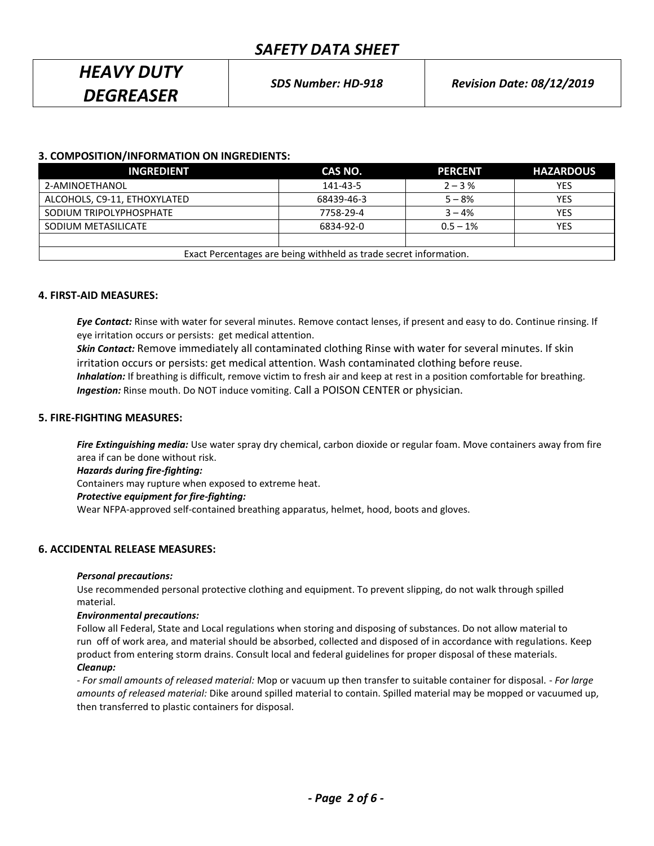# *HEAVY DUTY DEGREASER*

### **3. COMPOSITION/INFORMATION ON INGREDIENTS:**

| <b>INGREDIENT</b>                                                 | CAS NO.    | <b>PERCENT</b> | <b>HAZARDOUS</b> |
|-------------------------------------------------------------------|------------|----------------|------------------|
| 2-AMINOETHANOL                                                    | 141-43-5   | $2 - 3\%$      | <b>YES</b>       |
| ALCOHOLS, C9-11, ETHOXYLATED                                      | 68439-46-3 | $5 - 8%$       | YES              |
| SODIUM TRIPOLYPHOSPHATE                                           | 7758-29-4  | $3 - 4%$       | YES              |
| SODIUM METASILICATE                                               | 6834-92-0  | $0.5 - 1\%$    | YES              |
|                                                                   |            |                |                  |
| Exact Percentages are being withheld as trade secret information. |            |                |                  |

### **4. FIRST-AID MEASURES:**

*Eye Contact:* Rinse with water for several minutes. Remove contact lenses, if present and easy to do. Continue rinsing. If eye irritation occurs or persists: get medical attention.

*Skin Contact:* Remove immediately all contaminated clothing Rinse with water for several minutes. If skin irritation occurs or persists: get medical attention. Wash contaminated clothing before reuse.  *Inhalation:* If breathing is difficult, remove victim to fresh air and keep at rest in a position comfortable for breathing. *Ingestion:* Rinse mouth. Do NOT induce vomiting. Call a POISON CENTER or physician.

### **5. FIRE-FIGHTING MEASURES:**

*Fire Extinguishing media:* Use water spray dry chemical, carbon dioxide or regular foam. Move containers away from fire area if can be done without risk.

*Hazards during fire-fighting:* Containers may rupture when exposed to extreme heat. *Protective equipment for fire-fighting:* Wear NFPA-approved self-contained breathing apparatus, helmet, hood, boots and gloves.

### **6. ACCIDENTAL RELEASE MEASURES:**

### *Personal precautions:*

Use recommended personal protective clothing and equipment. To prevent slipping, do not walk through spilled material.

#### *Environmental precautions:*

Follow all Federal, State and Local regulations when storing and disposing of substances. Do not allow material to run off of work area, and material should be absorbed, collected and disposed of in accordance with regulations. Keep product from entering storm drains. Consult local and federal guidelines for proper disposal of these materials.

### *Cleanup:*

*- For small amounts of released material:* Mop or vacuum up then transfer to suitable container for disposal. - *For large amounts of released material:* Dike around spilled material to contain. Spilled material may be mopped or vacuumed up, then transferred to plastic containers for disposal.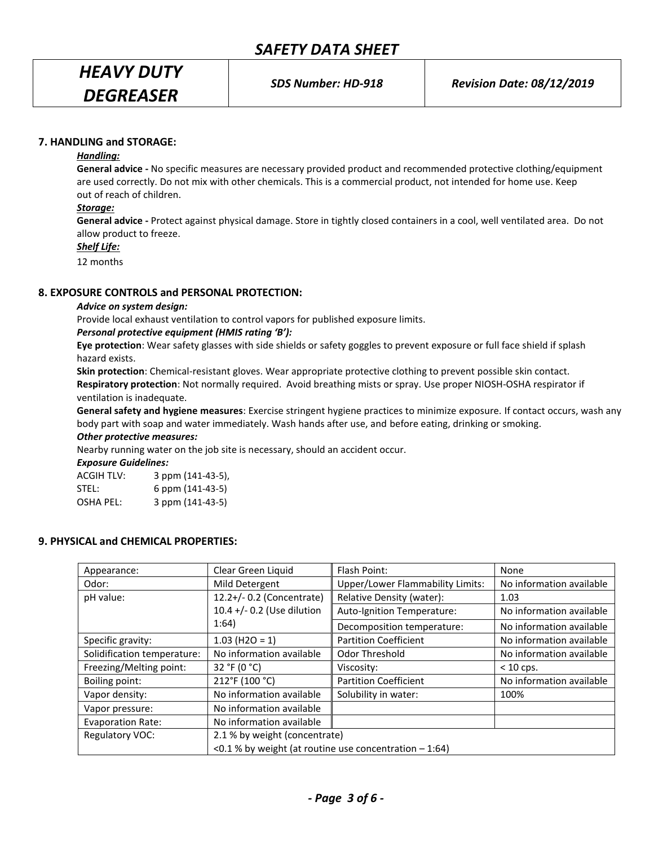# *HEAVY DUTY DEGREASER*

### **7. HANDLING and STORAGE:**

### *Handling:*

**General advice -** No specific measures are necessary provided product and recommended protective clothing/equipment are used correctly. Do not mix with other chemicals. This is a commercial product, not intended for home use. Keep out of reach of children.

### *Storage:*

**General advice -** Protect against physical damage. Store in tightly closed containers in a cool, well ventilated area. Do not allow product to freeze.

*Shelf Life:*

12 months

### **8. EXPOSURE CONTROLS and PERSONAL PROTECTION:**

### *Advice on system design:*

Provide local exhaust ventilation to control vapors for published exposure limits.

### *Personal protective equipment (HMIS rating 'B'):*

**Eye protection**: Wear safety glasses with side shields or safety goggles to prevent exposure or full face shield if splash hazard exists.

**Skin protection**: Chemical-resistant gloves. Wear appropriate protective clothing to prevent possible skin contact. **Respiratory protection**: Not normally required. Avoid breathing mists or spray. Use proper NIOSH-OSHA respirator if ventilation is inadequate.

**General safety and hygiene measures**: Exercise stringent hygiene practices to minimize exposure. If contact occurs, wash any body part with soap and water immediately. Wash hands after use, and before eating, drinking or smoking.

### *Other protective measures:*

Nearby running water on the job site is necessary, should an accident occur.

*Exposure Guidelines:*

| <b>ACGIH TLV:</b> | 3 ppm (141-43-5), |
|-------------------|-------------------|
| STEL:             | 6 ppm (141-43-5)  |
| <b>OSHA PEL:</b>  | 3 ppm (141-43-5)  |

### **9. PHYSICAL and CHEMICAL PROPERTIES:**

| Appearance:                 | Clear Green Liquid                                       | Flash Point:                            | None                     |
|-----------------------------|----------------------------------------------------------|-----------------------------------------|--------------------------|
| Odor:                       | Mild Detergent                                           | <b>Upper/Lower Flammability Limits:</b> | No information available |
| pH value:                   | 12.2+/- 0.2 (Concentrate)                                | Relative Density (water):               | 1.03                     |
|                             | 10.4 +/- 0.2 (Use dilution                               | Auto-Ignition Temperature:              | No information available |
|                             | 1:64)                                                    | Decomposition temperature:              | No information available |
| Specific gravity:           | $1.03$ (H <sub>2</sub> O = 1)                            | <b>Partition Coefficient</b>            | No information available |
| Solidification temperature: | No information available                                 | Odor Threshold                          | No information available |
| Freezing/Melting point:     | 32 °F (0 °C)                                             | Viscosity:                              | $< 10$ cps.              |
| Boiling point:              | 212°F (100 °C)                                           | <b>Partition Coefficient</b>            | No information available |
| Vapor density:              | No information available                                 | Solubility in water:                    | 100%                     |
| Vapor pressure:             | No information available                                 |                                         |                          |
| <b>Evaporation Rate:</b>    | No information available                                 |                                         |                          |
| Regulatory VOC:             | 2.1 % by weight (concentrate)                            |                                         |                          |
|                             | <0.1 % by weight (at routine use concentration $-1:64$ ) |                                         |                          |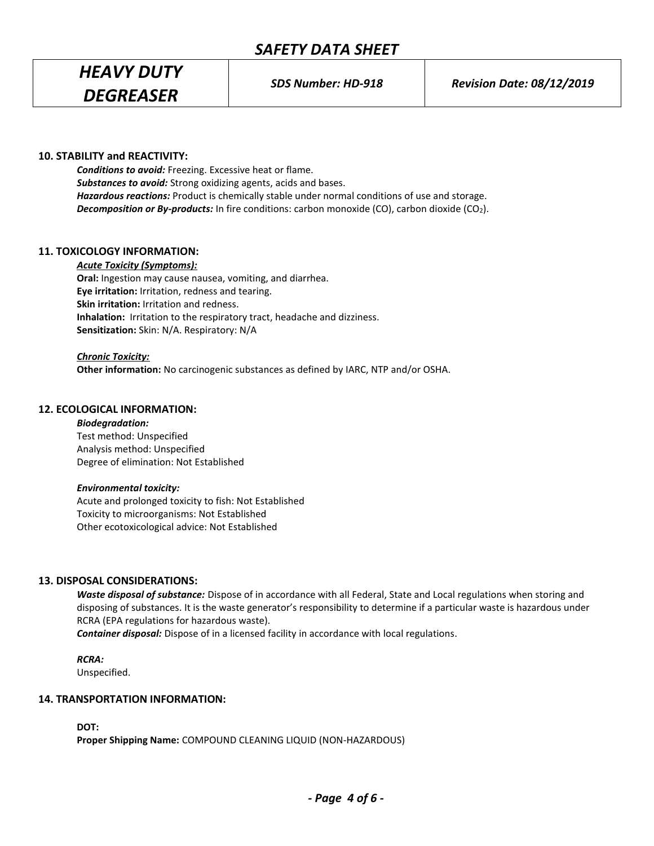## *HEAVY DUTY DEGREASER*

### **10. STABILITY and REACTIVITY:**

*Conditions to avoid:* Freezing. Excessive heat or flame. *Substances to avoid:* Strong oxidizing agents, acids and bases. *Hazardous reactions:* Product is chemically stable under normal conditions of use and storage. **Decomposition or By-products:** In fire conditions: carbon monoxide (CO), carbon dioxide (CO<sub>2</sub>).

### **11. TOXICOLOGY INFORMATION:**

*Acute Toxicity (Symptoms):* **Oral:** Ingestion may cause nausea, vomiting, and diarrhea. **Eye irritation:** Irritation, redness and tearing. **Skin irritation:** Irritation and redness. **Inhalation:** Irritation to the respiratory tract, headache and dizziness.

**Sensitization:** Skin: N/A. Respiratory: N/A

### *Chronic Toxicity:*

**Other information:** No carcinogenic substances as defined by IARC, NTP and/or OSHA.

### **12. ECOLOGICAL INFORMATION:**

### *Biodegradation:*

Test method: Unspecified Analysis method: Unspecified Degree of elimination: Not Established

### *Environmental toxicity:*

Acute and prolonged toxicity to fish: Not Established Toxicity to microorganisms: Not Established Other ecotoxicological advice: Not Established

### **13. DISPOSAL CONSIDERATIONS:**

*Waste disposal of substance:* Dispose of in accordance with all Federal, State and Local regulations when storing and disposing of substances. It is the waste generator's responsibility to determine if a particular waste is hazardous under RCRA (EPA regulations for hazardous waste).

*Container disposal:* Dispose of in a licensed facility in accordance with local regulations.

*RCRA:* Unspecified.

### **14. TRANSPORTATION INFORMATION:**

**DOT:**

**Proper Shipping Name:** COMPOUND CLEANING LIQUID (NON-HAZARDOUS)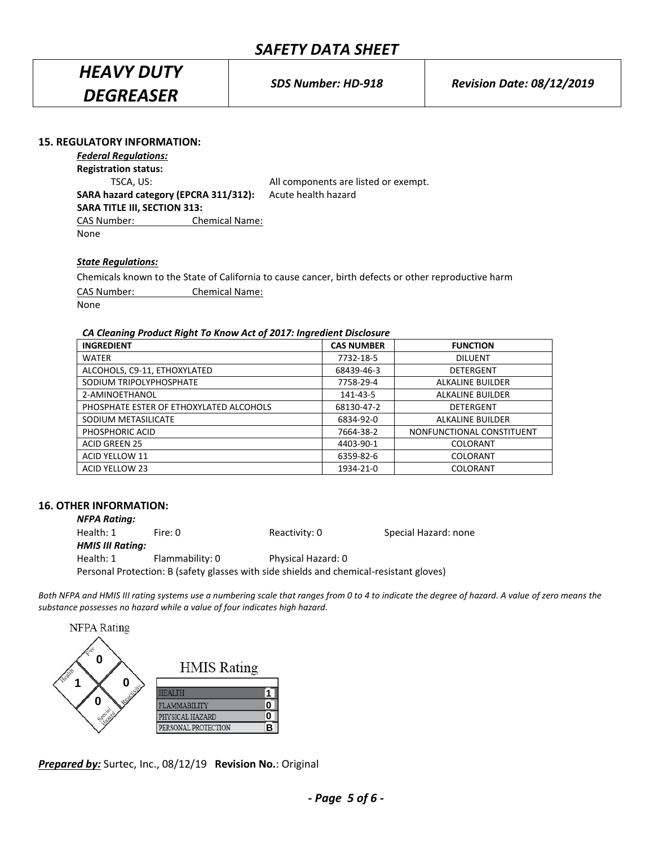# *HEAVY DUTY DEGREASER*

### **15. REGULATORY INFORMATION:**

*Federal Regulations:* **Registration status:** TSCA, US: All components are listed or exempt. **SARA hazard category (EPCRA 311/312):** Acute health hazard **SARA TITLE III, SECTION 313:** CAS Number: Chemical Name: None

### *State Regulations:*

Chemicals known to the State of California to cause cancer, birth defects or other reproductive harm CAS Number: Chemical Name: None

### *CA Cleaning Product Right To Know Act of 2017: Ingredient Disclosure*

| <b>INGREDIENT</b>                       | <b>CAS NUMBER</b> | <b>FUNCTION</b>           |
|-----------------------------------------|-------------------|---------------------------|
| <b>WATER</b>                            | 7732-18-5         | <b>DILUENT</b>            |
| ALCOHOLS, C9-11, ETHOXYLATED            | 68439-46-3        | DETERGENT                 |
| SODIUM TRIPOLYPHOSPHATE                 | 7758-29-4         | <b>ALKALINE BUILDER</b>   |
| 2-AMINOETHANOL                          | 141-43-5          | <b>ALKALINE BUILDER</b>   |
| PHOSPHATE ESTER OF ETHOXYLATED ALCOHOLS | 68130-47-2        | <b>DETERGENT</b>          |
| SODIUM METASILICATE                     | 6834-92-0         | <b>ALKALINE BUILDER</b>   |
| PHOSPHORIC ACID                         | 7664-38-2         | NONFUNCTIONAL CONSTITUENT |
| <b>ACID GREEN 25</b>                    | 4403-90-1         | <b>COLORANT</b>           |
| ACID YELLOW 11                          | 6359-82-6         | COLORANT                  |
| ACID YELLOW 23                          | 1934-21-0         | <b>COLORANT</b>           |

### **16. OTHER INFORMATION:**

| <b>NFPA Rating:</b>     |                                                                                         |                    |                      |
|-------------------------|-----------------------------------------------------------------------------------------|--------------------|----------------------|
| Health: 1               | Fire: 0                                                                                 | Reactivity: 0      | Special Hazard: none |
| <b>HMIS III Rating:</b> |                                                                                         |                    |                      |
| Health: 1               | Flammability: 0                                                                         | Physical Hazard: 0 |                      |
|                         | Personal Protection: B (safety glasses with side shields and chemical-resistant gloves) |                    |                      |

*Both NFPA and HMIS III rating systems use a numbering scale that ranges from 0 to 4 to indicate the degree of hazard. A value of zero means the substance possesses no hazard while a value of four indicates high hazard.*

| <b>NFPA Rating</b> |                     |  |
|--------------------|---------------------|--|
|                    |                     |  |
|                    | <b>HMIS</b> Rating  |  |
|                    | HEAMH               |  |
| n                  | <b>MABILITY</b>     |  |
|                    | PHYSICAL HAZARD     |  |
|                    | PERSONAL PROTECTION |  |

*Prepared by:* Surtec, Inc., 08/12/19 **Revision No.**: Original